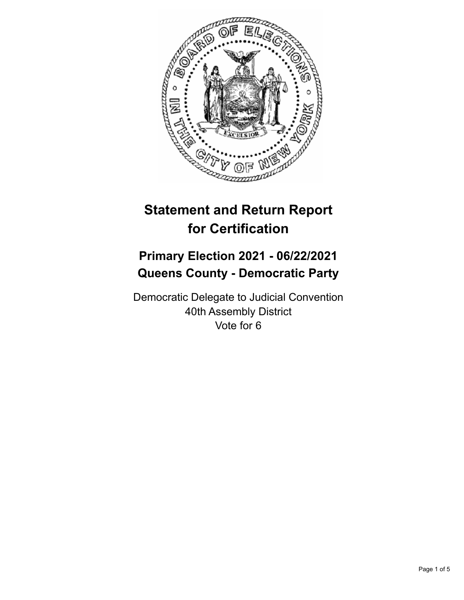

# **Statement and Return Report for Certification**

## **Primary Election 2021 - 06/22/2021 Queens County - Democratic Party**

Democratic Delegate to Judicial Convention 40th Assembly District Vote for 6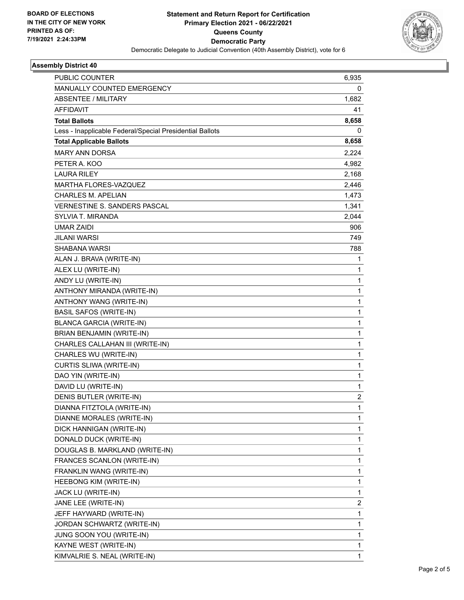

## **Assembly District 40**

| PUBLIC COUNTER                                           | 6,935        |
|----------------------------------------------------------|--------------|
| MANUALLY COUNTED EMERGENCY                               | 0            |
| <b>ABSENTEE / MILITARY</b>                               | 1,682        |
| AFFIDAVIT                                                | 41           |
| <b>Total Ballots</b>                                     | 8,658        |
| Less - Inapplicable Federal/Special Presidential Ballots | 0            |
| <b>Total Applicable Ballots</b>                          | 8,658        |
| <b>MARY ANN DORSA</b>                                    | 2,224        |
| PETER A. KOO                                             | 4,982        |
| <b>LAURA RILEY</b>                                       | 2,168        |
| MARTHA FLORES-VAZQUEZ                                    | 2,446        |
| CHARLES M. APELIAN                                       | 1,473        |
| VERNESTINE S. SANDERS PASCAL                             | 1,341        |
| SYLVIA T. MIRANDA                                        | 2,044        |
| <b>UMAR ZAIDI</b>                                        | 906          |
| <b>JILANI WARSI</b>                                      | 749          |
| SHABANA WARSI                                            | 788          |
| ALAN J. BRAVA (WRITE-IN)                                 | 1            |
| ALEX LU (WRITE-IN)                                       | 1            |
| ANDY LU (WRITE-IN)                                       | $\mathbf{1}$ |
| ANTHONY MIRANDA (WRITE-IN)                               | 1            |
| ANTHONY WANG (WRITE-IN)                                  | 1            |
| <b>BASIL SAFOS (WRITE-IN)</b>                            | $\mathbf{1}$ |
| <b>BLANCA GARCIA (WRITE-IN)</b>                          | 1            |
| BRIAN BENJAMIN (WRITE-IN)                                | 1            |
| CHARLES CALLAHAN III (WRITE-IN)                          | 1            |
| CHARLES WU (WRITE-IN)                                    | 1            |
| CURTIS SLIWA (WRITE-IN)                                  | 1            |
| DAO YIN (WRITE-IN)                                       | $\mathbf{1}$ |
| DAVID LU (WRITE-IN)                                      | 1            |
| DENIS BUTLER (WRITE-IN)                                  | 2            |
| DIANNA FITZTOLA (WRITE-IN)                               | 1            |
| DIANNE MORALES (WRITE-IN)                                | 1            |
| DICK HANNIGAN (WRITE-IN)                                 | 1            |
| DONALD DUCK (WRITE-IN)                                   | 1            |
| DOUGLAS B. MARKLAND (WRITE-IN)                           | 1            |
| FRANCES SCANLON (WRITE-IN)                               | 1            |
| FRANKLIN WANG (WRITE-IN)                                 | 1            |
| HEEBONG KIM (WRITE-IN)                                   | 1            |
| JACK LU (WRITE-IN)                                       | 1            |
| JANE LEE (WRITE-IN)                                      | 2            |
| JEFF HAYWARD (WRITE-IN)                                  | 1            |
| JORDAN SCHWARTZ (WRITE-IN)                               | 1            |
| <b>JUNG SOON YOU (WRITE-IN)</b>                          | 1            |
| KAYNE WEST (WRITE-IN)                                    | 1            |
| KIMVALRIE S. NEAL (WRITE-IN)                             | 1            |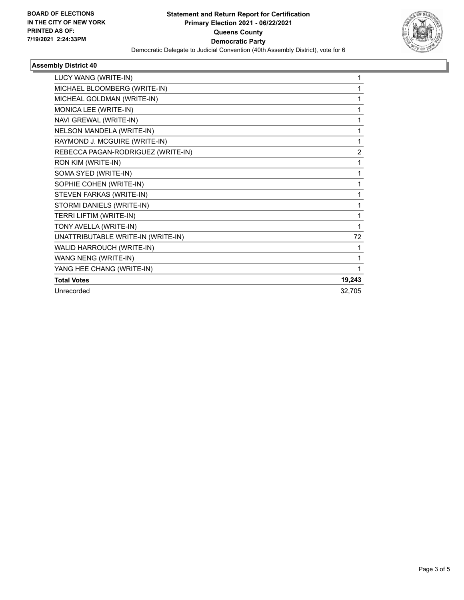

## **Assembly District 40**

| LUCY WANG (WRITE-IN)               |                |
|------------------------------------|----------------|
| MICHAEL BLOOMBERG (WRITE-IN)       |                |
| MICHEAL GOLDMAN (WRITE-IN)         |                |
| MONICA LEE (WRITE-IN)              | 1              |
| NAVI GREWAL (WRITE-IN)             | 1              |
| NELSON MANDELA (WRITE-IN)          | 1              |
| RAYMOND J. MCGUIRE (WRITE-IN)      | 1              |
| REBECCA PAGAN-RODRIGUEZ (WRITE-IN) | $\overline{2}$ |
| RON KIM (WRITE-IN)                 | 1              |
| SOMA SYED (WRITE-IN)               |                |
| SOPHIE COHEN (WRITE-IN)            |                |
| STEVEN FARKAS (WRITE-IN)           |                |
| STORMI DANIELS (WRITE-IN)          |                |
| TERRI LIFTIM (WRITE-IN)            | 1              |
| TONY AVELLA (WRITE-IN)             | 1              |
| UNATTRIBUTABLE WRITE-IN (WRITE-IN) | 72             |
| WALID HARROUCH (WRITE-IN)          | 1              |
| WANG NENG (WRITE-IN)               | 1              |
| YANG HEE CHANG (WRITE-IN)          |                |
| <b>Total Votes</b>                 | 19,243         |
| Unrecorded                         | 32.705         |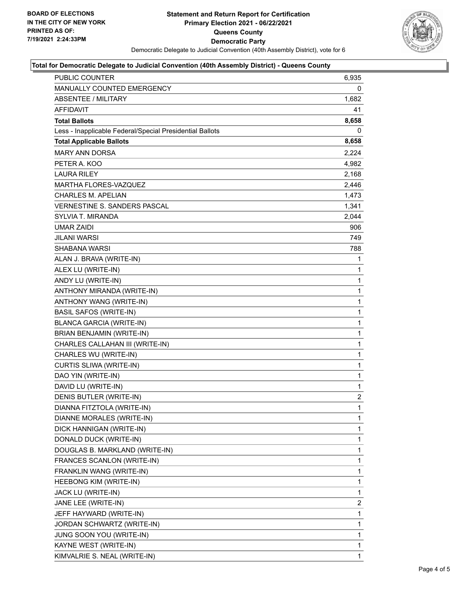

#### **Total for Democratic Delegate to Judicial Convention (40th Assembly District) - Queens County**

| PUBLIC COUNTER                                           | 6,935          |
|----------------------------------------------------------|----------------|
| MANUALLY COUNTED EMERGENCY                               | 0              |
| ABSENTEE / MILITARY                                      | 1,682          |
| AFFIDAVIT                                                | 41             |
| <b>Total Ballots</b>                                     | 8,658          |
| Less - Inapplicable Federal/Special Presidential Ballots | 0              |
| <b>Total Applicable Ballots</b>                          | 8,658          |
| <b>MARY ANN DORSA</b>                                    | 2,224          |
| PETER A. KOO                                             | 4,982          |
| <b>LAURA RILEY</b>                                       | 2,168          |
| <b>MARTHA FLORES-VAZQUEZ</b>                             | 2,446          |
| <b>CHARLES M. APELIAN</b>                                | 1,473          |
| <b>VERNESTINE S. SANDERS PASCAL</b>                      | 1,341          |
| SYLVIA T. MIRANDA                                        | 2,044          |
| UMAR ZAIDI                                               | 906            |
| JILANI WARSI                                             | 749            |
| SHABANA WARSI                                            | 788            |
| ALAN J. BRAVA (WRITE-IN)                                 | 1              |
| ALEX LU (WRITE-IN)                                       | 1              |
| ANDY LU (WRITE-IN)                                       | 1              |
| ANTHONY MIRANDA (WRITE-IN)                               | $\mathbf{1}$   |
| ANTHONY WANG (WRITE-IN)                                  | 1              |
| <b>BASIL SAFOS (WRITE-IN)</b>                            | $\mathbf 1$    |
| <b>BLANCA GARCIA (WRITE-IN)</b>                          | $\mathbf{1}$   |
| BRIAN BENJAMIN (WRITE-IN)                                | 1              |
| CHARLES CALLAHAN III (WRITE-IN)                          | 1              |
| CHARLES WU (WRITE-IN)                                    | $\mathbf{1}$   |
| CURTIS SLIWA (WRITE-IN)                                  | 1              |
| DAO YIN (WRITE-IN)                                       | 1              |
| DAVID LU (WRITE-IN)                                      | $\mathbf{1}$   |
| DENIS BUTLER (WRITE-IN)                                  | $\overline{2}$ |
| DIANNA FITZTOLA (WRITE-IN)                               | $\mathbf{1}$   |
| DIANNE MORALES (WRITE-IN)                                | 1              |
| DICK HANNIGAN (WRITE-IN)                                 | 1              |
| DONALD DUCK (WRITE-IN)                                   | 1              |
| DOUGLAS B. MARKLAND (WRITE-IN)                           | $\mathbf{1}$   |
| FRANCES SCANLON (WRITE-IN)                               | 1              |
| FRANKLIN WANG (WRITE-IN)                                 | 1              |
| HEEBONG KIM (WRITE-IN)                                   | 1              |
| JACK LU (WRITE-IN)                                       | 1              |
| JANE LEE (WRITE-IN)                                      | $\mathbf{2}$   |
| JEFF HAYWARD (WRITE-IN)                                  | 1              |
| JORDAN SCHWARTZ (WRITE-IN)                               | 1              |
| JUNG SOON YOU (WRITE-IN)                                 | 1              |
| KAYNE WEST (WRITE-IN)                                    | $\mathbf{1}$   |
| KIMVALRIE S. NEAL (WRITE-IN)                             | 1              |